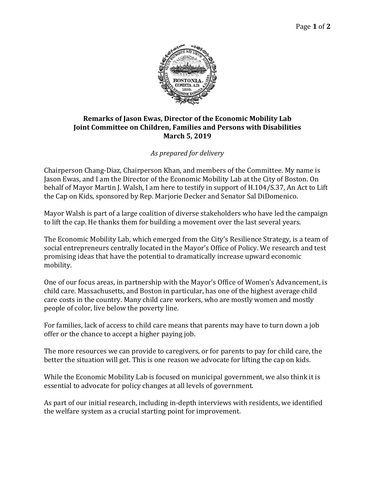

## **Remarks of Jason Ewas, Director of the Economic Mobility Lab Joint Committee on Children, Families and Persons with Disabilities March 5, 2019**

## *As prepared for delivery*

Chairperson Chang-Diaz, Chairperson Khan, and members of the Committee. My name is Jason Ewas, and I am the Director of the Economic Mobility Lab at the City of Boston. On behalf of Mayor Martin J. Walsh, I am here to testify in support of H.104/S.37, An Act to Lift the Cap on Kids, sponsored by Rep. Marjorie Decker and Senator Sal DiDomenico.

Mayor Walsh is part of a large coalition of diverse stakeholders who have led the campaign to lift the cap. He thanks them for building a movement over the last several years.

The Economic Mobility Lab, which emerged from the City's Resilience Strategy, is a team of social entrepreneurs centrally located in the Mayor's Office of Policy. We research and test promising ideas that have the potential to dramatically increase upward economic mobility.

One of our focus areas, in partnership with the Mayor's Office of Women's Advancement, is child care. Massachusetts, and Boston in particular, has one of the highest average child care costs in the country. Many child care workers, who are mostly women and mostly people of color, live below the poverty line.

For families, lack of access to child care means that parents may have to turn down a job offer or the chance to accept a higher paying job.

The more resources we can provide to caregivers, or for parents to pay for child care, the better the situation will get. This is one reason we advocate for lifting the cap on kids.

While the Economic Mobility Lab is focused on municipal government, we also think it is essential to advocate for policy changes at all levels of government.

As part of our initial research, including in-depth interviews with residents, we identified the welfare system as a crucial starting point for improvement.